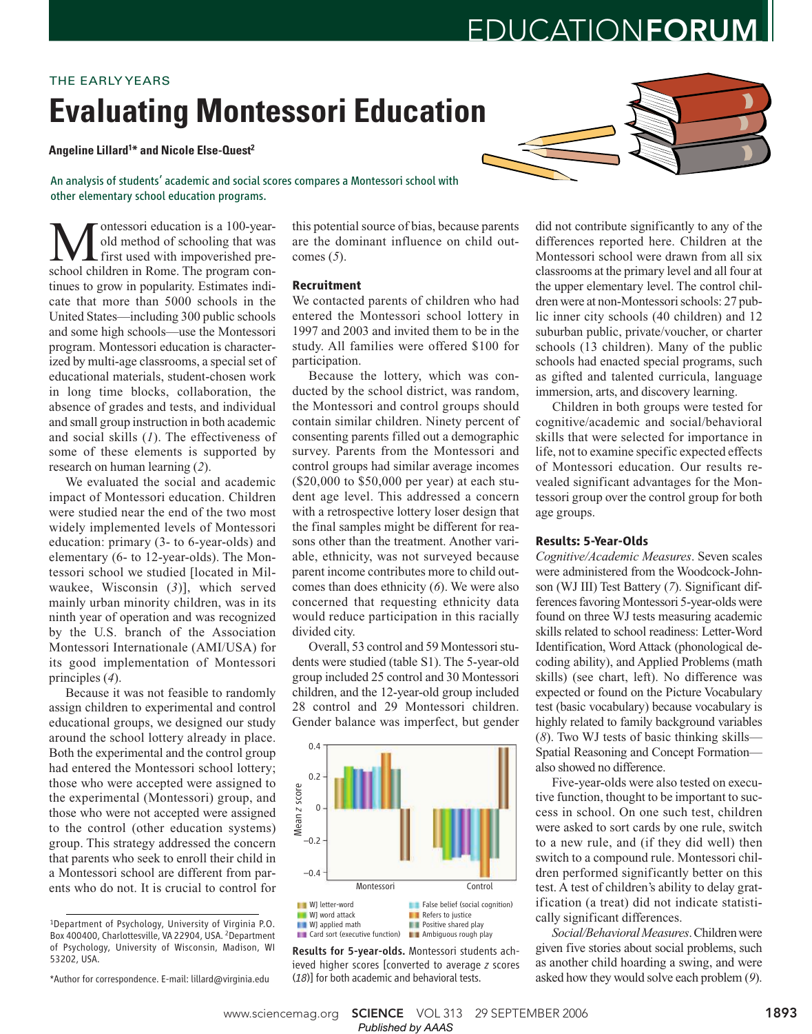# EDUCATIONFORUM

# **Evaluating Montessori Education** THE EARLY YEARS

**Angeline Lillard<sup>1</sup>\* and Nicole Else-Quest<sup>2</sup>**

An analysis of students' academic and social scores compares a Montessori school with other elementary school education programs.

**M** ontessori education is a 100-year-<br>first used with impoverished pre-<br>school children in Rome. The program conontessori education is a 100-yearold method of schooling that was first used with impoverished pretinues to grow in popularity. Estimates indicate that more than 5000 schools in the United States—including 300 public schools and some high schools—use the Montessori program. Montessori education is characterized by multi-age classrooms, a special set of educational materials, student-chosen work in long time blocks, collaboration, the absence of grades and tests, and individual and small group instruction in both academic and social skills (*1*). The effectiveness of some of these elements is supported by research on human learning (*2*).

We evaluated the social and academic impact of Montessori education. Children were studied near the end of the two most widely implemented levels of Montessori education: primary (3- to 6-year-olds) and elementary (6- to 12-year-olds). The Montessori school we studied [located in Milwaukee, Wisconsin (*3*)], which served mainly urban minority children, was in its ninth year of operation and was recognized by the U.S. branch of the Association Montessori Internationale (AMI/USA) for its good implementation of Montessori principles (*4*).

Because it was not feasible to randomly assign children to experimental and control educational groups, we designed our study around the school lottery already in place. Both the experimental and the control group had entered the Montessori school lottery; those who were accepted were assigned to the experimental (Montessori) group, and those who were not accepted were assigned to the control (other education systems) group. This strategy addressed the concern that parents who seek to enroll their child in a Montessori school are different from parents who do not. It is crucial to control for

\*Author for correspondence. E-mail: lillard@virginia.edu

this potential source of bias, because parents are the dominant influence on child outcomes (*5*).

### **Recruitment**

We contacted parents of children who had entered the Montessori school lottery in 1997 and 2003 and invited them to be in the study. All families were offered \$100 for participation.

Because the lottery, which was conducted by the school district, was random, the Montessori and control groups should contain similar children. Ninety percent of consenting parents filled out a demographic survey. Parents from the Montessori and control groups had similar average incomes (\$20,000 to \$50,000 per year) at each student age level. This addressed a concern with a retrospective lottery loser design that the final samples might be different for reasons other than the treatment. Another variable, ethnicity, was not surveyed because parent income contributes more to child outcomes than does ethnicity (*6*). We were also concerned that requesting ethnicity data would reduce participation in this racially divided city.

Overall, 53 control and 59 Montessori students were studied (table S1). The 5-year-old group included 25 control and 30 Montessori children, and the 12-year-old group included 28 control and 29 Montessori children. Gender balance was imperfect, but gender



Results for 5-year-olds. Montessori students achieved higher scores [converted to average *z* scores (*18*)] for both academic and behavioral tests.

did not contribute significantly to any of the differences reported here. Children at the Montessori school were drawn from all six classrooms at the primary level and all four at the upper elementary level. The control children were at non-Montessori schools: 27 public inner city schools (40 children) and 12 suburban public, private/voucher, or charter schools (13 children). Many of the public schools had enacted special programs, such as gifted and talented curricula, language immersion, arts, and discovery learning.

Children in both groups were tested for cognitive/academic and social/behavioral skills that were selected for importance in life, not to examine specific expected effects of Montessori education. Our results revealed significant advantages for the Montessori group over the control group for both age groups.

### **Results: 5-Year-Olds**

*Cognitive/Academic Measures*. Seven scales were administered from the Woodcock-Johnson (WJ III) Test Battery (*7*). Significant differences favoring Montessori 5-year-olds were found on three WJ tests measuring academic skills related to school readiness: Letter-Word Identification, Word Attack (phonological decoding ability), and Applied Problems (math skills) (see chart, left). No difference was expected or found on the Picture Vocabulary test (basic vocabulary) because vocabulary is highly related to family background variables (*8*). Two WJ tests of basic thinking skills— Spatial Reasoning and Concept Formation also showed no difference.

Five-year-olds were also tested on executive function, thought to be important to success in school. On one such test, children were asked to sort cards by one rule, switch to a new rule, and (if they did well) then switch to a compound rule. Montessori children performed significantly better on this test. A test of children's ability to delay gratification (a treat) did not indicate statistically significant differences.

*Social/Behavioral Measures*. Children were given five stories about social problems, such as another child hoarding a swing, and were asked how they would solve each problem (*9*).

<sup>1</sup>Department of Psychology, University of Virginia P.O. Box 400400, Charlottesville, VA 22904, USA. <sup>2</sup>Department of Psychology, University of Wisconsin, Madison, WI 53202, USA.